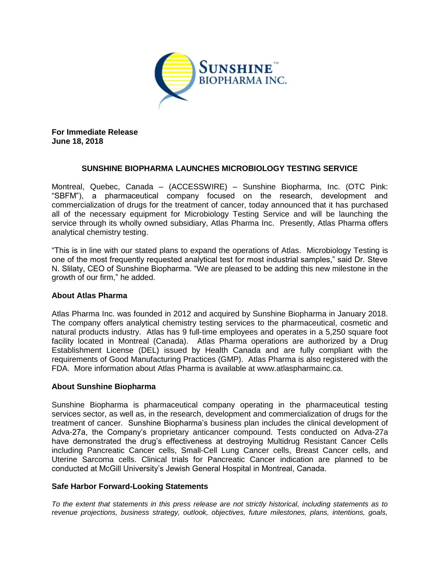

**For Immediate Release June 18, 2018**

## **SUNSHINE BIOPHARMA LAUNCHES MICROBIOLOGY TESTING SERVICE**

Montreal, Quebec, Canada – (ACCESSWIRE) – Sunshine Biopharma, Inc. (OTC Pink: "SBFM"), a pharmaceutical company focused on the research, development and commercialization of drugs for the treatment of cancer, today announced that it has purchased all of the necessary equipment for Microbiology Testing Service and will be launching the service through its wholly owned subsidiary, Atlas Pharma Inc. Presently, Atlas Pharma offers analytical chemistry testing.

"This is in line with our stated plans to expand the operations of Atlas. Microbiology Testing is one of the most frequently requested analytical test for most industrial samples," said Dr. Steve N. Slilaty, CEO of Sunshine Biopharma. "We are pleased to be adding this new milestone in the growth of our firm," he added.

## **About Atlas Pharma**

Atlas Pharma Inc. was founded in 2012 and acquired by Sunshine Biopharma in January 2018. The company offers analytical chemistry testing services to the pharmaceutical, cosmetic and natural products industry. Atlas has 9 full-time employees and operates in a 5,250 square foot facility located in Montreal (Canada). Atlas Pharma operations are authorized by a Drug Establishment License (DEL) issued by Health Canada and are fully compliant with the requirements of Good Manufacturing Practices (GMP). Atlas Pharma is also registered with the FDA. More information about Atlas Pharma is available at www.atlaspharmainc.ca.

## **About Sunshine Biopharma**

Sunshine Biopharma is pharmaceutical company operating in the pharmaceutical testing services sector, as well as, in the research, development and commercialization of drugs for the treatment of cancer. Sunshine Biopharma's business plan includes the clinical development of Adva-27a, the Company's proprietary anticancer compound. Tests conducted on Adva-27a have demonstrated the drug's effectiveness at destroying Multidrug Resistant Cancer Cells including Pancreatic Cancer cells, Small-Cell Lung Cancer cells, Breast Cancer cells, and Uterine Sarcoma cells. Clinical trials for Pancreatic Cancer indication are planned to be conducted at McGill University's Jewish General Hospital in Montreal, Canada.

## **Safe Harbor Forward-Looking Statements**

*To the extent that statements in this press release are not strictly historical, including statements as to revenue projections, business strategy, outlook, objectives, future milestones, plans, intentions, goals,*